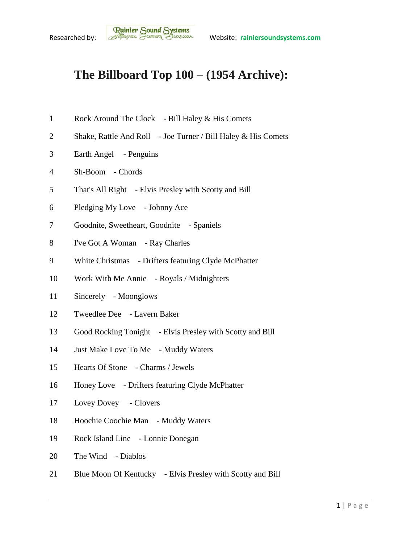## **The Billboard Top 100 – (1954 Archive):**

- Rock Around The Clock Bill Haley & His Comets
- 2 Shake, Rattle And Roll Joe Turner / Bill Haley & His Comets
- Earth Angel Penguins
- Sh-Boom Chords
- That's All Right Elvis Presley with Scotty and Bill
- Pledging My Love Johnny Ace
- Goodnite, Sweetheart, Goodnite Spaniels
- I've Got A Woman Ray Charles
- White Christmas Drifters featuring Clyde McPhatter
- Work With Me Annie Royals / Midnighters
- Sincerely Moonglows
- Tweedlee Dee Lavern Baker
- Good Rocking Tonight Elvis Presley with Scotty and Bill
- Just Make Love To Me Muddy Waters
- Hearts Of Stone Charms / Jewels
- Honey Love Drifters featuring Clyde McPhatter
- Lovey Dovey Clovers
- Hoochie Coochie Man Muddy Waters
- Rock Island Line Lonnie Donegan
- The Wind Diablos
- 21 Blue Moon Of Kentucky Elvis Presley with Scotty and Bill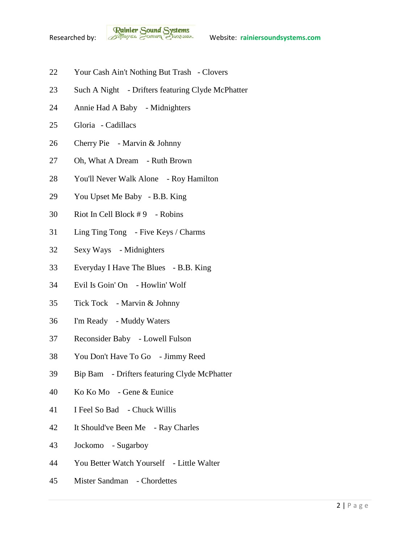

- Your Cash Ain't Nothing But Trash Clovers
- Such A Night Drifters featuring Clyde McPhatter
- Annie Had A Baby Midnighters
- Gloria Cadillacs
- Cherry Pie Marvin & Johnny
- Oh, What A Dream Ruth Brown
- You'll Never Walk Alone Roy Hamilton
- You Upset Me Baby B.B. King
- Riot In Cell Block # 9 Robins
- Ling Ting Tong Five Keys / Charms
- Sexy Ways Midnighters
- Everyday I Have The Blues B.B. King
- Evil Is Goin' On Howlin' Wolf
- Tick Tock Marvin & Johnny
- I'm Ready Muddy Waters
- Reconsider Baby Lowell Fulson
- You Don't Have To Go Jimmy Reed
- Bip Bam Drifters featuring Clyde McPhatter
- Ko Ko Mo Gene & Eunice
- I Feel So Bad Chuck Willis
- It Should've Been Me Ray Charles
- Jockomo Sugarboy
- You Better Watch Yourself Little Walter
- Mister Sandman Chordettes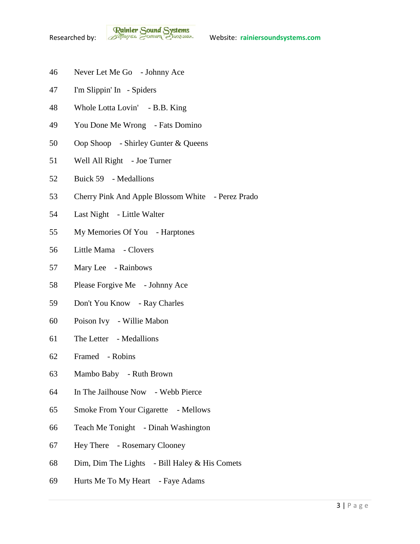**Rainier Sound Systems**<br>Researched by: *Bothuges* Conner Charantee Website: rainiersoundsystems.com

- Never Let Me Go Johnny Ace
- I'm Slippin' In Spiders
- Whole Lotta Lovin' B.B. King
- You Done Me Wrong Fats Domino
- Oop Shoop Shirley Gunter & Queens
- Well All Right Joe Turner
- Buick 59 Medallions
- Cherry Pink And Apple Blossom White Perez Prado
- Last Night Little Walter
- My Memories Of You Harptones
- Little Mama Clovers
- Mary Lee Rainbows
- Please Forgive Me Johnny Ace
- Don't You Know Ray Charles
- Poison Ivy Willie Mabon
- The Letter Medallions
- Framed Robins
- Mambo Baby Ruth Brown
- In The Jailhouse Now Webb Pierce
- Smoke From Your Cigarette Mellows
- Teach Me Tonight Dinah Washington
- Hey There Rosemary Clooney
- Dim, Dim The Lights Bill Haley & His Comets
- Hurts Me To My Heart Faye Adams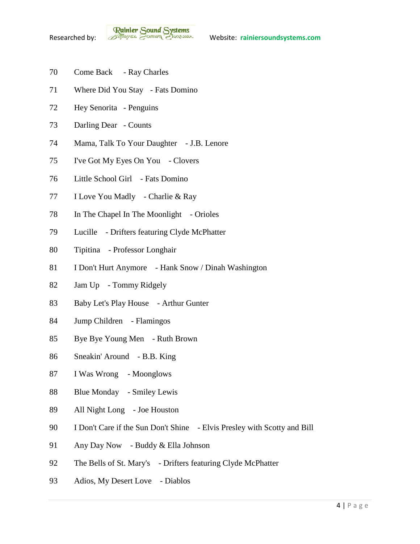- Come Back Ray Charles
- Where Did You Stay Fats Domino
- Hey Senorita Penguins
- Darling Dear Counts
- Mama, Talk To Your Daughter J.B. Lenore
- I've Got My Eyes On You Clovers
- Little School Girl Fats Domino
- I Love You Madly Charlie & Ray
- 78 In The Chapel In The Moonlight Orioles
- Lucille Drifters featuring Clyde McPhatter
- Tipitina Professor Longhair
- I Don't Hurt Anymore Hank Snow / Dinah Washington
- Jam Up Tommy Ridgely
- 83 Baby Let's Play House Arthur Gunter
- Jump Children Flamingos
- Bye Bye Young Men Ruth Brown
- Sneakin' Around B.B. King
- I Was Wrong Moonglows
- 88 Blue Monday Smiley Lewis
- All Night Long Joe Houston
- I Don't Care if the Sun Don't Shine Elvis Presley with Scotty and Bill
- Any Day Now Buddy & Ella Johnson
- The Bells of St. Mary's Drifters featuring Clyde McPhatter
- Adios, My Desert Love Diablos